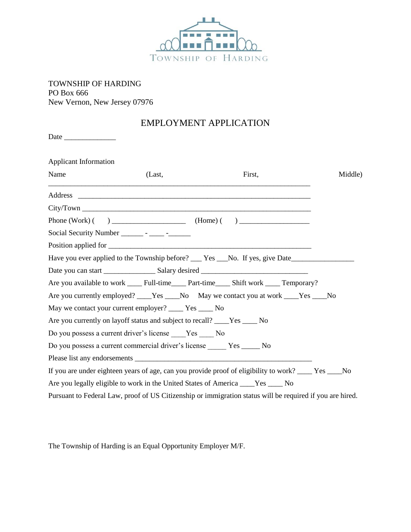

TOWNSHIP OF HARDING PO Box 666 New Vernon, New Jersey 07976

## EMPLOYMENT APPLICATION

Date \_\_\_\_\_\_\_\_\_\_\_\_\_\_

| <b>Applicant Information</b> |                                                                                                           |        |         |
|------------------------------|-----------------------------------------------------------------------------------------------------------|--------|---------|
| Name                         | (Last,                                                                                                    | First, | Middle) |
|                              |                                                                                                           |        |         |
|                              |                                                                                                           |        |         |
|                              |                                                                                                           |        |         |
|                              | Social Security Number ________ - ______ - _______                                                        |        |         |
|                              |                                                                                                           |        |         |
|                              | Have you ever applied to the Township before? ___ Yes ___No. If yes, give Date______________________      |        |         |
|                              |                                                                                                           |        |         |
|                              |                                                                                                           |        |         |
|                              | Are you currently employed? ____Yes ____No May we contact you at work ____Yes ____No                      |        |         |
|                              | May we contact your current employer? _____ Yes _____ No                                                  |        |         |
|                              | Are you currently on layoff status and subject to recall? ____Yes ____ No                                 |        |         |
|                              | Do you possess a current driver's license Yes No                                                          |        |         |
|                              | Do you possess a current commercial driver's license Yes ______ No                                        |        |         |
|                              |                                                                                                           |        |         |
|                              | If you are under eighteen years of age, can you provide proof of eligibility to work? ____ Yes ____No     |        |         |
|                              | Are you legally eligible to work in the United States of America ____Yes ____ No                          |        |         |
|                              | Pursuant to Federal Law, proof of US Citizenship or immigration status will be required if you are hired. |        |         |

The Township of Harding is an Equal Opportunity Employer M/F.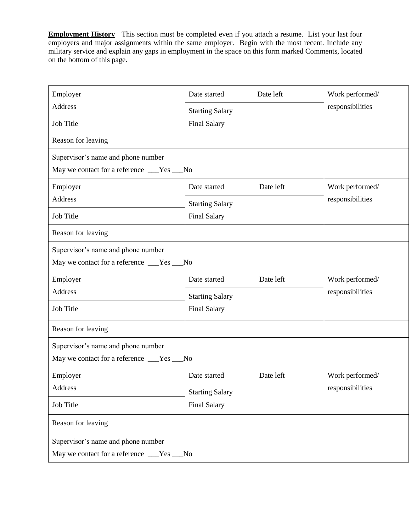**Employment History** This section must be completed even if you attach a resume. List your last four employers and major assignments within the same employer. Begin with the most recent. Include any military service and explain any gaps in employment in the space on this form marked Comments, located on the bottom of this page.

| Employer                                   | Date left<br>Date started                     |           | Work performed/  |  |
|--------------------------------------------|-----------------------------------------------|-----------|------------------|--|
| Address                                    | <b>Starting Salary</b>                        |           | responsibilities |  |
| Job Title                                  | <b>Final Salary</b>                           |           |                  |  |
| Reason for leaving                         |                                               |           |                  |  |
| Supervisor's name and phone number         |                                               |           |                  |  |
| May we contact for a reference ___Yes __No |                                               |           |                  |  |
| Employer                                   | Date started                                  | Date left | Work performed/  |  |
| Address                                    | <b>Starting Salary</b>                        |           | responsibilities |  |
| Job Title                                  | <b>Final Salary</b>                           |           |                  |  |
| Reason for leaving                         |                                               |           |                  |  |
| Supervisor's name and phone number         |                                               |           |                  |  |
| May we contact for a reference ___Yes __No |                                               |           |                  |  |
| Employer                                   | Date started                                  | Date left | Work performed/  |  |
| Address                                    | <b>Starting Salary</b><br><b>Final Salary</b> |           | responsibilities |  |
| Job Title                                  |                                               |           |                  |  |
| Reason for leaving                         |                                               |           |                  |  |
| Supervisor's name and phone number         |                                               |           |                  |  |
| May we contact for a reference ___Yes __No |                                               |           |                  |  |
| Employer                                   | Date started                                  | Date left | Work performed/  |  |
| Address                                    | <b>Starting Salary</b><br><b>Final Salary</b> |           | responsibilities |  |
| Job Title                                  |                                               |           |                  |  |
| Reason for leaving                         |                                               |           |                  |  |
| Supervisor's name and phone number         |                                               |           |                  |  |
|                                            |                                               |           |                  |  |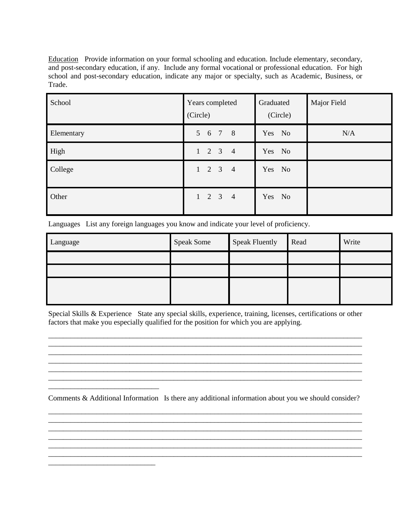Education Provide information on your formal schooling and education. Include elementary, secondary, and post-secondary education, if any. Include any formal vocational or professional education. For high school and post-secondary education, indicate any major or specialty, such as Academic, Business, or Trade.

| School     | Years completed<br>(Circle) | Graduated<br>(Circle) | Major Field |
|------------|-----------------------------|-----------------------|-------------|
| Elementary | 5 6 7 8                     | Yes No                | N/A         |
| High       | $1 \t2 \t3 \t4$             | Yes No                |             |
| College    | $1 \t2 \t3 \t4$             | Yes No                |             |
| Other      | $1 \t2 \t3 \t4$             | Yes No                |             |

Languages List any foreign languages you know and indicate your level of proficiency.

| Language | <b>Speak Some</b> | <b>Speak Fluently</b> | Read | Write |
|----------|-------------------|-----------------------|------|-------|
|          |                   |                       |      |       |
|          |                   |                       |      |       |
|          |                   |                       |      |       |

Special Skills & Experience State any special skills, experience, training, licenses, certifications or other factors that make you especially qualified for the position for which you are applying.

\_\_\_\_\_\_\_\_\_\_\_\_\_\_\_\_\_\_\_\_\_\_\_\_\_\_\_\_\_\_\_\_\_\_\_\_\_\_\_\_\_\_\_\_\_\_\_\_\_\_\_\_\_\_\_\_\_\_\_\_\_\_\_\_\_\_\_\_\_\_\_\_\_\_\_\_\_\_\_\_\_\_\_\_\_

\_\_\_\_\_\_\_\_\_\_\_\_\_\_\_\_\_\_\_\_\_\_\_\_\_\_\_\_\_\_\_\_\_\_\_\_\_\_\_\_\_\_\_\_\_\_\_\_\_\_\_\_\_\_\_\_\_\_\_\_\_\_\_\_\_\_\_\_\_\_\_\_\_\_\_\_\_\_\_\_\_\_\_\_\_

\_\_\_\_\_\_\_\_\_\_\_\_\_\_\_\_\_\_\_\_\_\_\_\_\_\_\_\_\_\_\_\_\_\_\_\_\_\_\_\_\_\_\_\_\_\_\_\_\_\_\_\_\_\_\_\_\_\_\_\_\_\_\_\_\_\_\_\_\_\_\_\_\_\_\_\_\_\_\_\_\_\_\_\_\_

Comments & Additional Information Is there any additional information about you we should consider? \_\_\_\_\_\_\_\_\_\_\_\_\_\_\_\_\_\_\_\_\_\_\_\_\_\_\_\_\_\_\_\_\_\_\_\_\_\_\_\_\_\_\_\_\_\_\_\_\_\_\_\_\_\_\_\_\_\_\_\_\_\_\_\_\_\_\_\_\_\_\_\_\_\_\_\_\_\_\_\_\_\_\_\_\_

\_\_\_\_\_\_\_\_\_\_\_\_\_\_\_\_\_\_\_\_\_\_\_\_\_\_\_\_\_\_\_\_\_\_\_\_\_\_\_\_\_\_\_\_\_\_\_\_\_\_\_\_\_\_\_\_\_\_\_\_\_\_\_\_\_\_\_\_\_\_\_\_\_\_\_\_\_\_\_\_\_\_\_\_\_

\_\_\_\_\_\_\_\_\_\_\_\_\_\_\_\_\_\_\_\_\_\_\_\_\_\_\_\_\_\_\_\_\_\_\_\_\_\_\_\_\_\_\_\_\_\_\_\_\_\_\_\_\_\_\_\_\_\_\_\_\_\_\_\_\_\_\_\_\_\_\_\_\_\_\_\_\_\_\_\_\_\_\_\_\_ \_\_\_\_\_\_\_\_\_\_\_\_\_\_\_\_\_\_\_\_\_\_\_\_\_\_\_\_\_\_\_\_\_\_\_\_\_\_\_\_\_\_\_\_\_\_\_\_\_\_\_\_\_\_\_\_\_\_\_\_\_\_\_\_\_\_\_\_\_\_\_\_\_\_\_\_\_\_\_\_\_\_\_\_\_

\_\_\_\_\_\_\_\_\_\_\_\_\_\_\_\_\_\_\_\_\_\_\_\_\_\_\_\_\_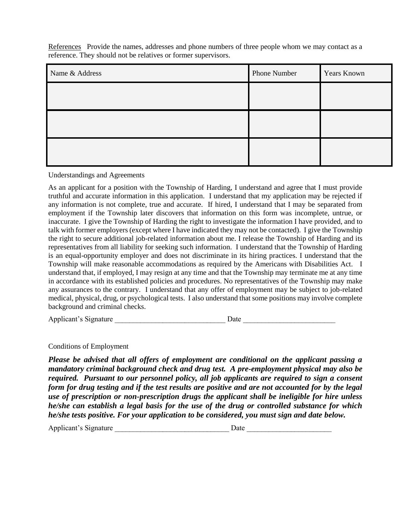References Provide the names, addresses and phone numbers of three people whom we may contact as a reference. They should not be relatives or former supervisors.

| Name & Address | Phone Number | <b>Years Known</b> |
|----------------|--------------|--------------------|
|                |              |                    |
|                |              |                    |
|                |              |                    |
|                |              |                    |
|                |              |                    |

Understandings and Agreements

As an applicant for a position with the Township of Harding, I understand and agree that I must provide truthful and accurate information in this application. I understand that my application may be rejected if any information is not complete, true and accurate. If hired, I understand that I may be separated from employment if the Township later discovers that information on this form was incomplete, untrue, or inaccurate. I give the Township of Harding the right to investigate the information I have provided, and to talk with former employers (except where I have indicated they may not be contacted). I give the Township the right to secure additional job-related information about me. I release the Township of Harding and its representatives from all liability for seeking such information. I understand that the Township of Harding is an equal-opportunity employer and does not discriminate in its hiring practices. I understand that the Township will make reasonable accommodations as required by the Americans with Disabilities Act. I understand that, if employed, I may resign at any time and that the Township may terminate me at any time in accordance with its established policies and procedures. No representatives of the Township may make any assurances to the contrary. I understand that any offer of employment may be subject to job-related medical, physical, drug, or psychological tests. I also understand that some positions may involve complete background and criminal checks.

Applicant's Signature Date Date

Conditions of Employment

*Please be advised that all offers of employment are conditional on the applicant passing a mandatory criminal background check and drug test. A pre-employment physical may also be required. Pursuant to our personnel policy, all job applicants are required to sign a consent form for drug testing and if the test results are positive and are not accounted for by the legal use of prescription or non-prescription drugs the applicant shall be ineligible for hire unless he/she can establish a legal basis for the use of the drug or controlled substance for which he/she tests positive. For your application to be considered, you must sign and date below.*

Applicant's Signature \_\_\_\_\_\_\_\_\_\_\_\_\_\_\_\_\_\_\_\_\_\_\_\_\_\_\_\_\_\_\_ Date \_\_\_\_\_\_\_\_\_\_\_\_\_\_\_\_\_\_\_\_\_\_\_